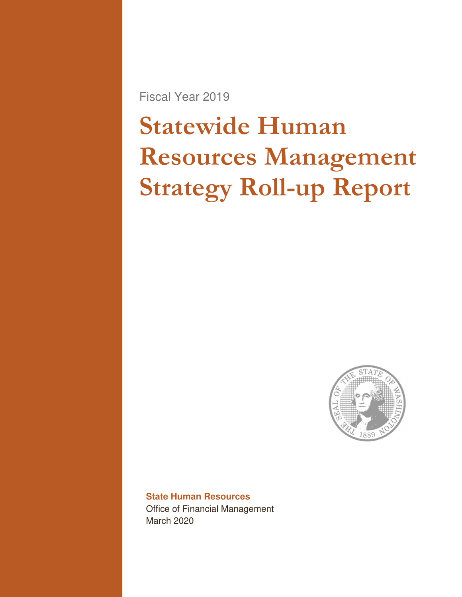Fiscal Year 2019

# Statewide Human Resources Management Strategy Roll-up Report



### **State Human Resources**  Office of Financial Management March 2020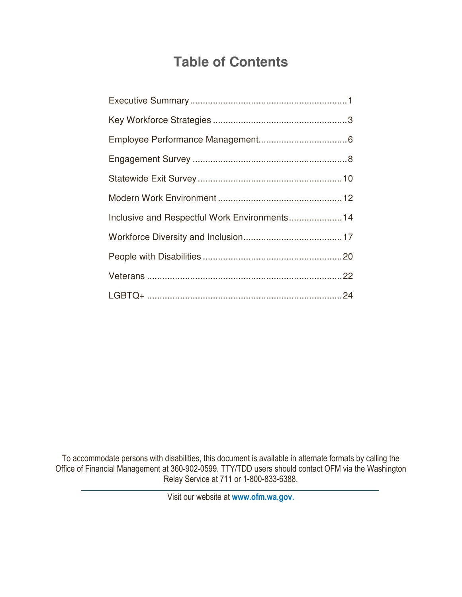## **Table of Contents**

| Inclusive and Respectful Work Environments 14 |  |
|-----------------------------------------------|--|
|                                               |  |
|                                               |  |
|                                               |  |
|                                               |  |

To accommodate persons with disabilities, this document is available in alternate formats by calling the Office of Financial Management at 360-902-0599. TTY/TDD users should contact OFM via the Washington Relay Service at 711 or 1-800-833-6388.

Visit our website at www.ofm.wa.gov.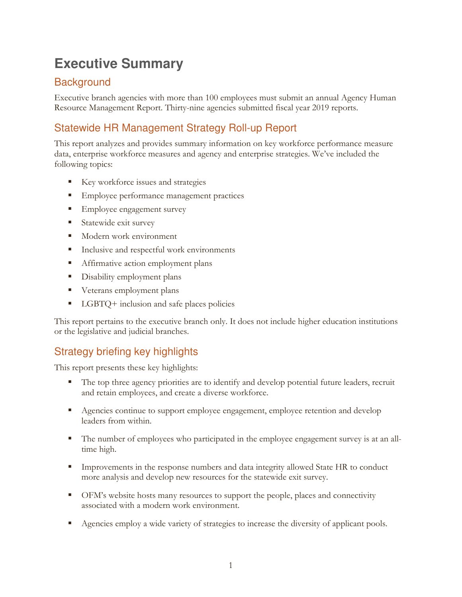## **Executive Summary**

## **Background**

Executive branch agencies with more than 100 employees must submit an annual Agency Human Resource Management Report. Thirty-nine agencies submitted fiscal year 2019 reports.

## Statewide HR Management Strategy Roll-up Report

This report analyzes and provides summary information on key workforce performance measure data, enterprise workforce measures and agency and enterprise strategies. We've included the following topics:

- Key workforce issues and strategies
- **Employee performance management practices**
- **Employee engagement survey**
- **Statewide exit survey**
- **Modern work environment**
- Inclusive and respectful work environments
- **Affirmative action employment plans**
- **•** Disability employment plans
- **v** Veterans employment plans
- LGBTQ+ inclusion and safe places policies

This report pertains to the executive branch only. It does not include higher education institutions or the legislative and judicial branches.

## Strategy briefing key highlights

This report presents these key highlights:

- The top three agency priorities are to identify and develop potential future leaders, recruit and retain employees, and create a diverse workforce.
- Agencies continue to support employee engagement, employee retention and develop leaders from within.
- The number of employees who participated in the employee engagement survey is at an alltime high.
- **IMPROVEMENTS** In the response numbers and data integrity allowed State HR to conduct more analysis and develop new resources for the statewide exit survey.
- OFM's website hosts many resources to support the people, places and connectivity associated with a modern work environment.
- Agencies employ a wide variety of strategies to increase the diversity of applicant pools.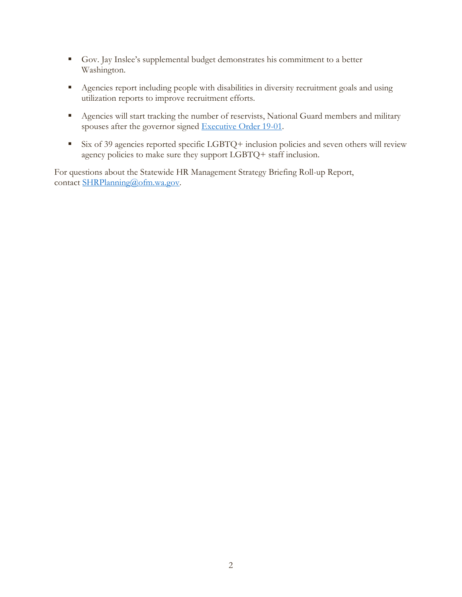- Gov. Jay Inslee's supplemental budget demonstrates his commitment to a better Washington.
- Agencies report including people with disabilities in diversity recruitment goals and using utilization reports to improve recruitment efforts.
- Agencies will start tracking the number of reservists, National Guard members and military spouses after the governor signed Executive Order 19-01.
- Six of 39 agencies reported specific LGBTQ+ inclusion policies and seven others will review agency policies to make sure they support LGBTQ+ staff inclusion.

For questions about the Statewide HR Management Strategy Briefing Roll-up Report, contact SHRPlanning@ofm.wa.gov.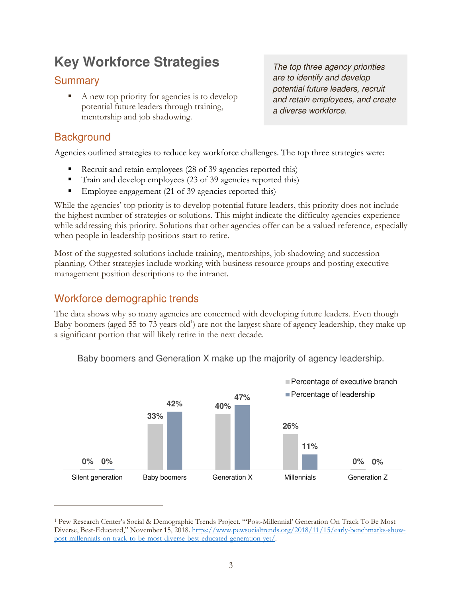## **Key Workforce Strategies**

## **Summary**

A new top priority for agencies is to develop potential future leaders through training, mentorship and job shadowing.

**Background** 

 $\overline{a}$ 

Agencies outlined strategies to reduce key workforce challenges. The top three strategies were:

- Recruit and retain employees (28 of 39 agencies reported this)
- Train and develop employees (23 of 39 agencies reported this)
- Employee engagement (21 of 39 agencies reported this)

While the agencies' top priority is to develop potential future leaders, this priority does not include the highest number of strategies or solutions. This might indicate the difficulty agencies experience while addressing this priority. Solutions that other agencies offer can be a valued reference, especially when people in leadership positions start to retire.

Most of the suggested solutions include training, mentorships, job shadowing and succession planning. Other strategies include working with business resource groups and posting executive management position descriptions to the intranet.

## Workforce demographic trends

The data shows why so many agencies are concerned with developing future leaders. Even though Baby boomers (aged 55 to 73 years old<sup>1</sup>) are not the largest share of agency leadership, they make up a significant portion that will likely retire in the next decade.



Baby boomers and Generation X make up the majority of agency leadership.

The top three agency priorities are to identify and develop potential future leaders, recruit and retain employees, and create a diverse workforce.

<sup>1</sup> Pew Research Center's Social & Demographic Trends Project. "'Post-Millennial' Generation On Track To Be Most Diverse, Best-Educated," November 15, 2018. https://www.pewsocialtrends.org/2018/11/15/early-benchmarks-showpost-millennials-on-track-to-be-most-diverse-best-educated-generation-yet/.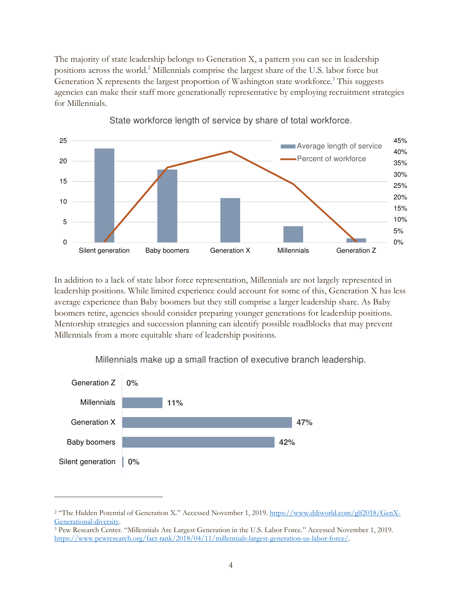The majority of state leadership belongs to Generation X, a pattern you can see in leadership positions across the world.<sup>2</sup> Millennials comprise the largest share of the U.S. labor force but Generation X represents the largest proportion of Washington state workforce.<sup>3</sup> This suggests agencies can make their staff more generationally representative by employing recruitment strategies for Millennials.



State workforce length of service by share of total workforce.

In addition to a lack of state labor force representation, Millennials are not largely represented in leadership positions. While limited experience could account for some of this, Generation X has less average experience than Baby boomers but they still comprise a larger leadership share. As Baby boomers retire, agencies should consider preparing younger generations for leadership positions. Mentorship strategies and succession planning can identify possible roadblocks that may prevent Millennials from a more equitable share of leadership positions.



 $\overline{a}$ 

Millennials make up a small fraction of executive branch leadership.

<sup>&</sup>lt;sup>2</sup> "The Hidden Potential of Generation X." Accessed November 1, 2019. https://www.ddiworld.com/glf2018/GenX-Generational-diversity.

<sup>3</sup> Pew Research Center. "Millennials Are Largest Generation in the U.S. Labor Force." Accessed November 1, 2019. https://www.pewresearch.org/fact-tank/2018/04/11/millennials-largest-generation-us-labor-force/.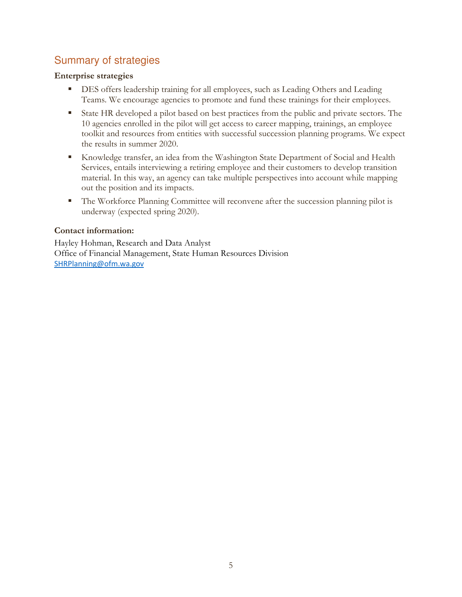## Summary of strategies

#### Enterprise strategies

- **DES** offers leadership training for all employees, such as Leading Others and Leading Teams. We encourage agencies to promote and fund these trainings for their employees.
- State HR developed a pilot based on best practices from the public and private sectors. The 10 agencies enrolled in the pilot will get access to career mapping, trainings, an employee toolkit and resources from entities with successful succession planning programs. We expect the results in summer 2020.
- Knowledge transfer, an idea from the Washington State Department of Social and Health Services, entails interviewing a retiring employee and their customers to develop transition material. In this way, an agency can take multiple perspectives into account while mapping out the position and its impacts.
- The Workforce Planning Committee will reconvene after the succession planning pilot is underway (expected spring 2020).

### Contact information:

Hayley Hohman, Research and Data Analyst Office of Financial Management, State Human Resources Division SHRPlanning@ofm.wa.gov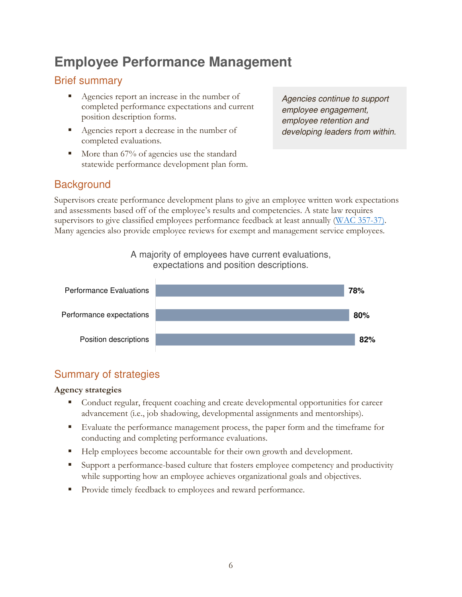## **Employee Performance Management**

## Brief summary

- Agencies report an increase in the number of completed performance expectations and current position description forms.
- Agencies report a decrease in the number of completed evaluations.
- $\blacksquare$  More than 67% of agencies use the standard statewide performance development plan form.

Agencies continue to support employee engagement, employee retention and developing leaders from within.

### **Background**

Supervisors create performance development plans to give an employee written work expectations and assessments based off of the employee's results and competencies. A state law requires supervisors to give classified employees performance feedback at least annually (WAC 357-37). Many agencies also provide employee reviews for exempt and management service employees.

### A majority of employees have current evaluations, expectations and position descriptions.



## Summary of strategies

### Agency strategies

- Conduct regular, frequent coaching and create developmental opportunities for career advancement (i.e., job shadowing, developmental assignments and mentorships).
- Evaluate the performance management process, the paper form and the timeframe for conducting and completing performance evaluations.
- Help employees become accountable for their own growth and development.
- Support a performance-based culture that fosters employee competency and productivity while supporting how an employee achieves organizational goals and objectives.
- **Provide timely feedback to employees and reward performance.**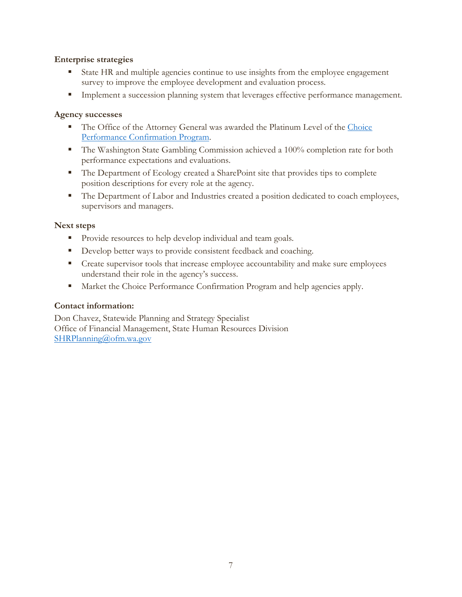#### Enterprise strategies

- State HR and multiple agencies continue to use insights from the employee engagement survey to improve the employee development and evaluation process.
- **Implement a succession planning system that leverages effective performance management.**

#### Agency successes

- The Office of the Attorney General was awarded the Platinum Level of the Choice Performance Confirmation Program.
- **The Washington State Gambling Commission achieved a 100% completion rate for both** performance expectations and evaluations.
- The Department of Ecology created a SharePoint site that provides tips to complete position descriptions for every role at the agency.
- The Department of Labor and Industries created a position dedicated to coach employees, supervisors and managers.

#### Next steps

- **Provide resources to help develop individual and team goals.**
- Develop better ways to provide consistent feedback and coaching.
- **•** Create supervisor tools that increase employee accountability and make sure employees understand their role in the agency's success.
- **Market the Choice Performance Confirmation Program and help agencies apply.**

#### Contact information:

Don Chavez, Statewide Planning and Strategy Specialist Office of Financial Management, State Human Resources Division SHRPlanning@ofm.wa.gov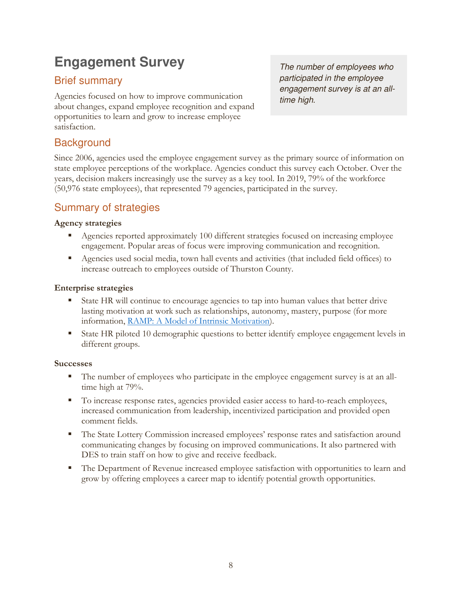## **Engagement Survey**

## Brief summary

Agencies focused on how to improve communication about changes, expand employee recognition and expand opportunities to learn and grow to increase employee satisfaction.

**Background** 

The number of employees who participated in the employee engagement survey is at an alltime high.

Since 2006, agencies used the employee engagement survey as the primary source of information on state employee perceptions of the workplace. Agencies conduct this survey each October. Over the years, decision makers increasingly use the survey as a key tool. In 2019, 79% of the workforce (50,976 state employees), that represented 79 agencies, participated in the survey.

## Summary of strategies

### Agency strategies

- Agencies reported approximately 100 different strategies focused on increasing employee engagement. Popular areas of focus were improving communication and recognition.
- Agencies used social media, town hall events and activities (that included field offices) to increase outreach to employees outside of Thurston County.

#### Enterprise strategies

- State HR will continue to encourage agencies to tap into human values that better drive lasting motivation at work such as relationships, autonomy, mastery, purpose (for more information, RAMP: A Model of Intrinsic Motivation).
- State HR piloted 10 demographic questions to better identify employee engagement levels in different groups.

#### Successes

- The number of employees who participate in the employee engagement survey is at an alltime high at 79%.
- To increase response rates, agencies provided easier access to hard-to-reach employees, increased communication from leadership, incentivized participation and provided open comment fields.
- The State Lottery Commission increased employees' response rates and satisfaction around communicating changes by focusing on improved communications. It also partnered with DES to train staff on how to give and receive feedback.
- The Department of Revenue increased employee satisfaction with opportunities to learn and grow by offering employees a career map to identify potential growth opportunities.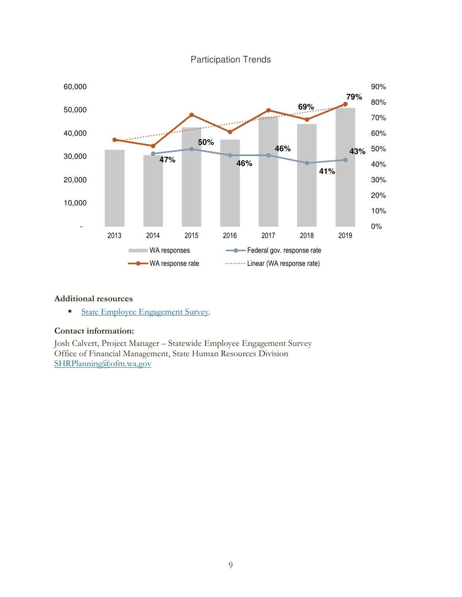

### Participation Trends

#### Additional resources

State Employee Engagement Survey.

#### Contact information:

Josh Calvert, Project Manager – Statewide Employee Engagement Survey Office of Financial Management, State Human Resources Division SHRPlanning@ofm.wa.gov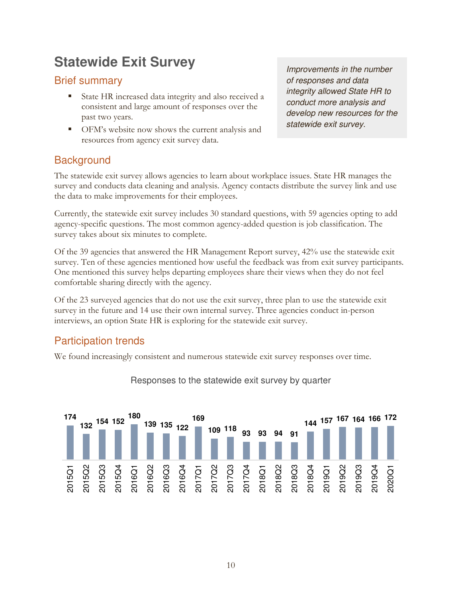## **Statewide Exit Survey**

## Brief summary

- State HR increased data integrity and also received a consistent and large amount of responses over the past two years.
- OFM's website now shows the current analysis and resources from agency exit survey data.

Improvements in the number of responses and data integrity allowed State HR to conduct more analysis and develop new resources for the statewide exit survey.

## **Background**

The statewide exit survey allows agencies to learn about workplace issues. State HR manages the survey and conducts data cleaning and analysis. Agency contacts distribute the survey link and use the data to make improvements for their employees.

Currently, the statewide exit survey includes 30 standard questions, with 59 agencies opting to add agency-specific questions. The most common agency-added question is job classification. The survey takes about six minutes to complete.

Of the 39 agencies that answered the HR Management Report survey, 42% use the statewide exit survey. Ten of these agencies mentioned how useful the feedback was from exit survey participants. One mentioned this survey helps departing employees share their views when they do not feel comfortable sharing directly with the agency.

Of the 23 surveyed agencies that do not use the exit survey, three plan to use the statewide exit survey in the future and 14 use their own internal survey. Three agencies conduct in-person interviews, an option State HR is exploring for the statewide exit survey.

## Participation trends

We found increasingly consistent and numerous statewide exit survey responses over time.



### Responses to the statewide exit survey by quarter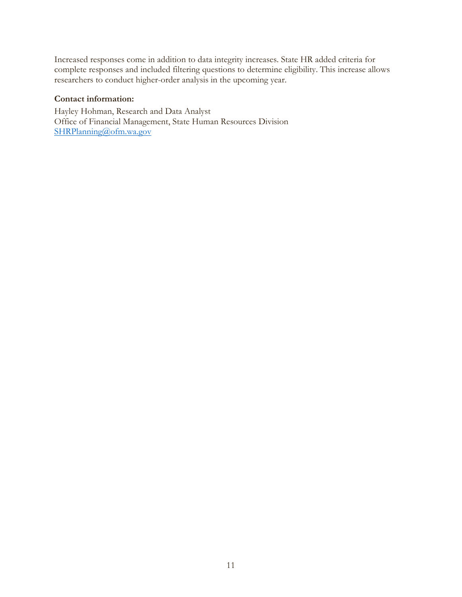Increased responses come in addition to data integrity increases. State HR added criteria for complete responses and included filtering questions to determine eligibility. This increase allows researchers to conduct higher-order analysis in the upcoming year.

#### Contact information:

Hayley Hohman, Research and Data Analyst Office of Financial Management, State Human Resources Division SHRPlanning@ofm.wa.gov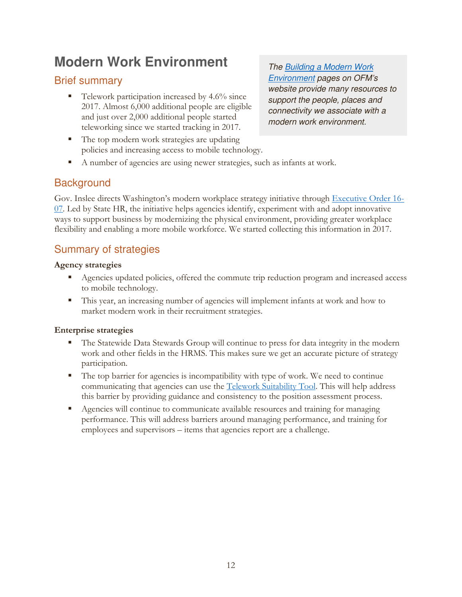## **Modern Work Environment**

## Brief summary

 $\blacksquare$  Telework participation increased by 4.6% since 2017. Almost 6,000 additional people are eligible and just over 2,000 additional people started teleworking since we started tracking in 2017.

The Building a Modern Work Environment pages on OFM's website provide many resources to support the people, places and connectivity we associate with a modern work environment.

- The top modern work strategies are updating policies and increasing access to mobile technology.
- A number of agencies are using newer strategies, such as infants at work.

## **Background**

Gov. Inslee directs Washington's modern workplace strategy initiative through Executive Order 16- 07. Led by State HR, the initiative helps agencies identify, experiment with and adopt innovative ways to support business by modernizing the physical environment, providing greater workplace flexibility and enabling a more mobile workforce. We started collecting this information in 2017.

## Summary of strategies

### Agency strategies

- Agencies updated policies, offered the commute trip reduction program and increased access to mobile technology.
- This year, an increasing number of agencies will implement infants at work and how to market modern work in their recruitment strategies.

### Enterprise strategies

- The Statewide Data Stewards Group will continue to press for data integrity in the modern work and other fields in the HRMS. This makes sure we get an accurate picture of strategy participation.
- The top barrier for agencies is incompatibility with type of work. We need to continue communicating that agencies can use the Telework Suitability Tool. This will help address this barrier by providing guidance and consistency to the position assessment process.
- Agencies will continue to communicate available resources and training for managing performance. This will address barriers around managing performance, and training for employees and supervisors – items that agencies report are a challenge.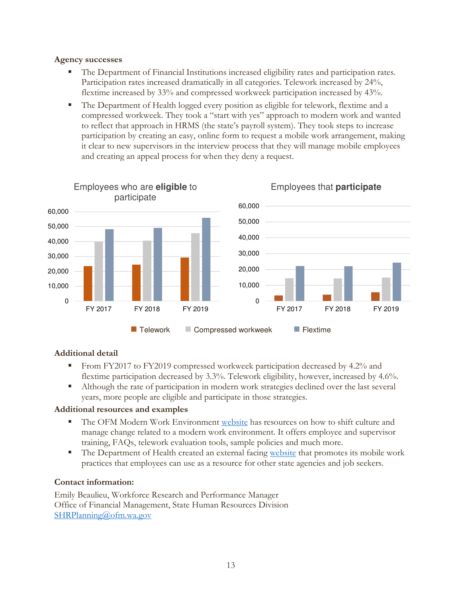#### Agency successes

- The Department of Financial Institutions increased eligibility rates and participation rates. Participation rates increased dramatically in all categories. Telework increased by 24%, flextime increased by 33% and compressed workweek participation increased by 43%.
- The Department of Health logged every position as eligible for telework, flextime and a compressed workweek. They took a "start with yes" approach to modern work and wanted to reflect that approach in HRMS (the state's payroll system). They took steps to increase participation by creating an easy, online form to request a mobile work arrangement, making it clear to new supervisors in the interview process that they will manage mobile employees and creating an appeal process for when they deny a request.



### Additional detail

- From FY2017 to FY2019 compressed workweek participation decreased by 4.2% and flextime participation decreased by 3.3%. Telework eligibility, however, increased by 4.6%.
- Although the rate of participation in modern work strategies declined over the last several years, more people are eligible and participate in those strategies.

#### Additional resources and examples

- The OFM Modern Work Environment website has resources on how to shift culture and manage change related to a modern work environment. It offers employee and supervisor training, FAQs, telework evaluation tools, sample policies and much more.
- The Department of Health created an external facing website that promotes its mobile work practices that employees can use as a resource for other state agencies and job seekers.

#### Contact information:

Emily Beaulieu, Workforce Research and Performance Manager Office of Financial Management, State Human Resources Division SHRPlanning@ofm.wa.gov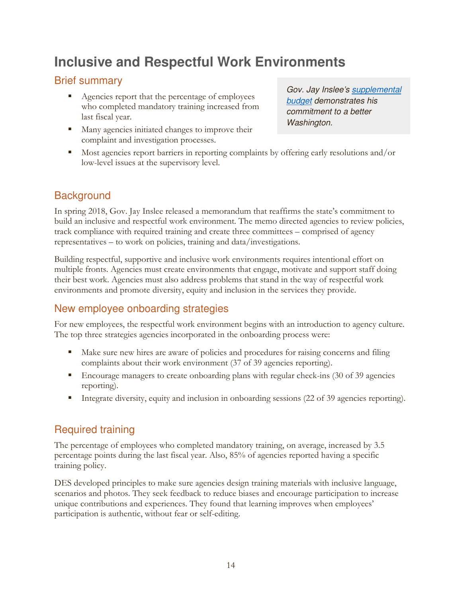## **Inclusive and Respectful Work Environments**

## Brief summary

- Agencies report that the percentage of employees who completed mandatory training increased from last fiscal year.
- Many agencies initiated changes to improve their complaint and investigation processes.

Gov. Jay Inslee's supplemental budget demonstrates his commitment to a better Washington.

 Most agencies report barriers in reporting complaints by offering early resolutions and/or low-level issues at the supervisory level.

## **Background**

In spring 2018, Gov. Jay Inslee released a memorandum that reaffirms the state's commitment to build an inclusive and respectful work environment. The memo directed agencies to review policies, track compliance with required training and create three committees – comprised of agency representatives – to work on policies, training and data/investigations.

Building respectful, supportive and inclusive work environments requires intentional effort on multiple fronts. Agencies must create environments that engage, motivate and support staff doing their best work. Agencies must also address problems that stand in the way of respectful work environments and promote diversity, equity and inclusion in the services they provide.

### New employee onboarding strategies

For new employees, the respectful work environment begins with an introduction to agency culture. The top three strategies agencies incorporated in the onboarding process were:

- Make sure new hires are aware of policies and procedures for raising concerns and filing complaints about their work environment (37 of 39 agencies reporting).
- **Encourage managers to create onboarding plans with regular check-ins (30 of 39 agencies** reporting).
- Integrate diversity, equity and inclusion in onboarding sessions (22 of 39 agencies reporting).

## Required training

The percentage of employees who completed mandatory training, on average, increased by 3.5 percentage points during the last fiscal year. Also, 85% of agencies reported having a specific training policy.

DES developed principles to make sure agencies design training materials with inclusive language, scenarios and photos. They seek feedback to reduce biases and encourage participation to increase unique contributions and experiences. They found that learning improves when employees' participation is authentic, without fear or self-editing.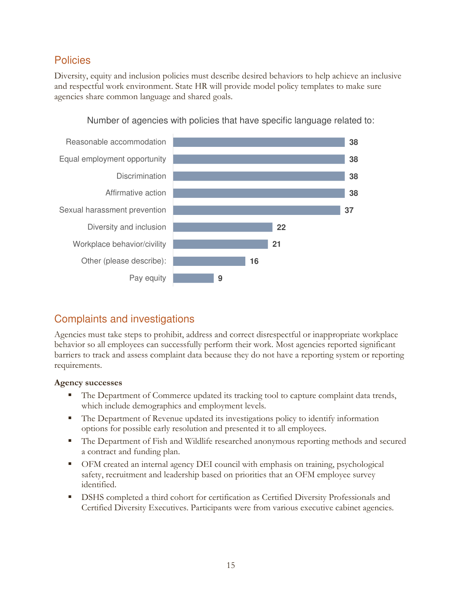## Policies

Diversity, equity and inclusion policies must describe desired behaviors to help achieve an inclusive and respectful work environment. State HR will provide model policy templates to make sure agencies share common language and shared goals.



Number of agencies with policies that have specific language related to:

## Complaints and investigations

Agencies must take steps to prohibit, address and correct disrespectful or inappropriate workplace behavior so all employees can successfully perform their work. Most agencies reported significant barriers to track and assess complaint data because they do not have a reporting system or reporting requirements.

### Agency successes

- The Department of Commerce updated its tracking tool to capture complaint data trends, which include demographics and employment levels.
- The Department of Revenue updated its investigations policy to identify information options for possible early resolution and presented it to all employees.
- The Department of Fish and Wildlife researched anonymous reporting methods and secured a contract and funding plan.
- OFM created an internal agency DEI council with emphasis on training, psychological safety, recruitment and leadership based on priorities that an OFM employee survey identified.
- **DSHS** completed a third cohort for certification as Certified Diversity Professionals and Certified Diversity Executives. Participants were from various executive cabinet agencies.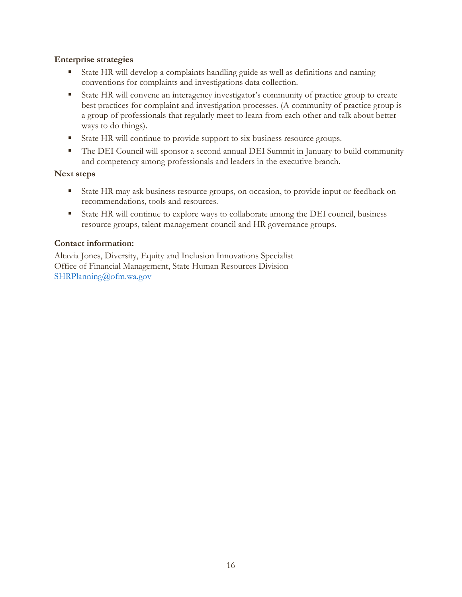#### Enterprise strategies

- State HR will develop a complaints handling guide as well as definitions and naming conventions for complaints and investigations data collection.
- State HR will convene an interagency investigator's community of practice group to create best practices for complaint and investigation processes. (A community of practice group is a group of professionals that regularly meet to learn from each other and talk about better ways to do things).
- State HR will continue to provide support to six business resource groups.
- The DEI Council will sponsor a second annual DEI Summit in January to build community and competency among professionals and leaders in the executive branch.

#### Next steps

- State HR may ask business resource groups, on occasion, to provide input or feedback on recommendations, tools and resources.
- State HR will continue to explore ways to collaborate among the DEI council, business resource groups, talent management council and HR governance groups.

#### Contact information:

Altavia Jones, Diversity, Equity and Inclusion Innovations Specialist Office of Financial Management, State Human Resources Division SHRPlanning@ofm.wa.gov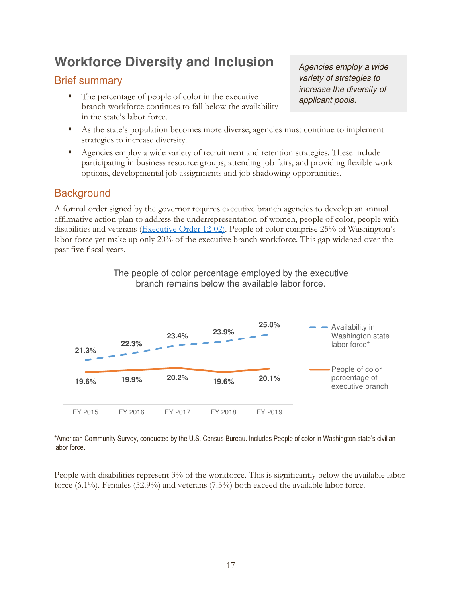## **Workforce Diversity and Inclusion**

## Brief summary

The percentage of people of color in the executive branch workforce continues to fall below the availability in the state's labor force.

Agencies employ a wide variety of strategies to increase the diversity of applicant pools.

- As the state's population becomes more diverse, agencies must continue to implement strategies to increase diversity.
- Agencies employ a wide variety of recruitment and retention strategies. These include participating in business resource groups, attending job fairs, and providing flexible work options, developmental job assignments and job shadowing opportunities.

## **Background**

A formal order signed by the governor requires executive branch agencies to develop an annual affirmative action plan to address the underrepresentation of women, people of color, people with disabilities and veterans (Executive Order 12-02). People of color comprise 25% of Washington's labor force yet make up only 20% of the executive branch workforce. This gap widened over the past five fiscal years.

> The people of color percentage employed by the executive branch remains below the available labor force.



\*American Community Survey, conducted by the U.S. Census Bureau. Includes People of color in Washington state's civilian labor force.

People with disabilities represent 3% of the workforce. This is significantly below the available labor force (6.1%). Females (52.9%) and veterans (7.5%) both exceed the available labor force.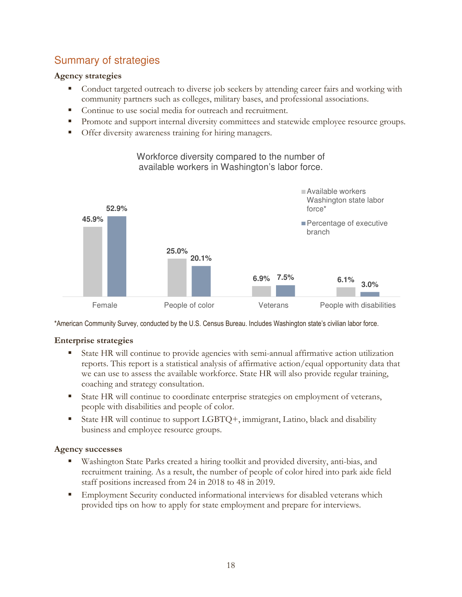## Summary of strategies

### Agency strategies

- Conduct targeted outreach to diverse job seekers by attending career fairs and working with community partners such as colleges, military bases, and professional associations.
- Continue to use social media for outreach and recruitment.
- Promote and support internal diversity committees and statewide employee resource groups.
- **Offer diversity awareness training for hiring managers.**



Workforce diversity compared to the number of available workers in Washington's labor force.

\*American Community Survey, conducted by the U.S. Census Bureau. Includes Washington state's civilian labor force.

### Enterprise strategies

- State HR will continue to provide agencies with semi-annual affirmative action utilization reports. This report is a statistical analysis of affirmative action/equal opportunity data that we can use to assess the available workforce. State HR will also provide regular training, coaching and strategy consultation.
- State HR will continue to coordinate enterprise strategies on employment of veterans, people with disabilities and people of color.
- State HR will continue to support LGBTQ+, immigrant, Latino, black and disability business and employee resource groups.

#### Agency successes

- Washington State Parks created a hiring toolkit and provided diversity, anti-bias, and recruitment training. As a result, the number of people of color hired into park aide field staff positions increased from 24 in 2018 to 48 in 2019.
- Employment Security conducted informational interviews for disabled veterans which provided tips on how to apply for state employment and prepare for interviews.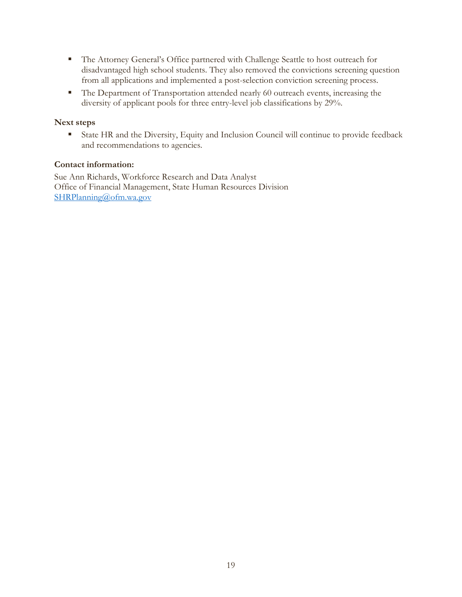- The Attorney General's Office partnered with Challenge Seattle to host outreach for disadvantaged high school students. They also removed the convictions screening question from all applications and implemented a post-selection conviction screening process.
- The Department of Transportation attended nearly 60 outreach events, increasing the diversity of applicant pools for three entry-level job classifications by 29%.

#### Next steps

 State HR and the Diversity, Equity and Inclusion Council will continue to provide feedback and recommendations to agencies.

#### Contact information:

Sue Ann Richards, Workforce Research and Data Analyst Office of Financial Management, State Human Resources Division SHRPlanning@ofm.wa.gov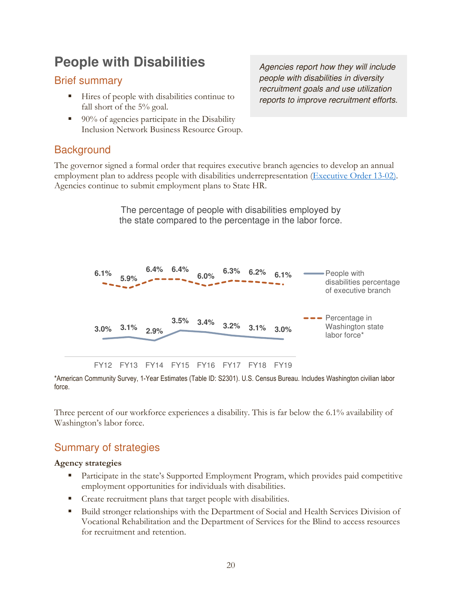## **People with Disabilities**

### Brief summary

- Hires of people with disabilities continue to fall short of the 5% goal.
- 90% of agencies participate in the Disability Inclusion Network Business Resource Group.

## **Background**

The governor signed a formal order that requires executive branch agencies to develop an annual employment plan to address people with disabilities underrepresentation (Executive Order 13-02). Agencies continue to submit employment plans to State HR.

> The percentage of people with disabilities employed by the state compared to the percentage in the labor force.



\*American Community Survey, 1-Year Estimates (Table ID: S2301). U.S. Census Bureau. Includes Washington civilian labor force.

Three percent of our workforce experiences a disability. This is far below the 6.1% availability of Washington's labor force.

## Summary of strategies

### Agency strategies

- **Participate in the state's Supported Employment Program, which provides paid competitive** employment opportunities for individuals with disabilities.
- Create recruitment plans that target people with disabilities.
- Build stronger relationships with the Department of Social and Health Services Division of Vocational Rehabilitation and the Department of Services for the Blind to access resources for recruitment and retention.

Agencies report how they will include people with disabilities in diversity recruitment goals and use utilization reports to improve recruitment efforts.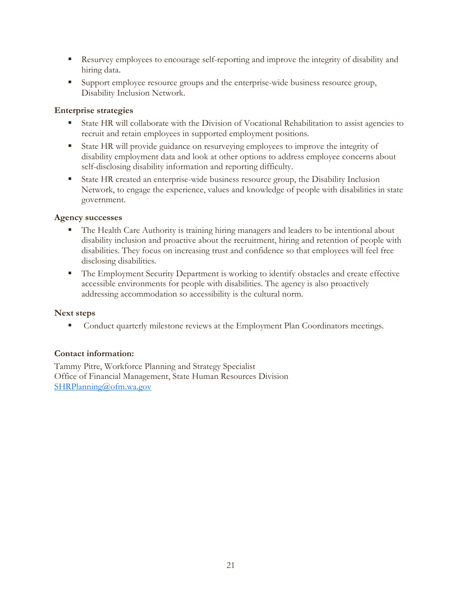- Resurvey employees to encourage self-reporting and improve the integrity of disability and hiring data.
- Support employee resource groups and the enterprise-wide business resource group, Disability Inclusion Network.

#### Enterprise strategies

- State HR will collaborate with the Division of Vocational Rehabilitation to assist agencies to recruit and retain employees in supported employment positions.
- State HR will provide guidance on resurveying employees to improve the integrity of disability employment data and look at other options to address employee concerns about self-disclosing disability information and reporting difficulty.
- State HR created an enterprise-wide business resource group, the Disability Inclusion Network, to engage the experience, values and knowledge of people with disabilities in state government.

### Agency successes

- The Health Care Authority is training hiring managers and leaders to be intentional about disability inclusion and proactive about the recruitment, hiring and retention of people with disabilities. They focus on increasing trust and confidence so that employees will feel free disclosing disabilities.
- **The Employment Security Department is working to identify obstacles and create effective** accessible environments for people with disabilities. The agency is also proactively addressing accommodation so accessibility is the cultural norm.

#### Next steps

**Conduct quarterly milestone reviews at the Employment Plan Coordinators meetings.** 

### Contact information:

Tammy Pitre, Workforce Planning and Strategy Specialist Office of Financial Management, State Human Resources Division SHRPlanning@ofm.wa.gov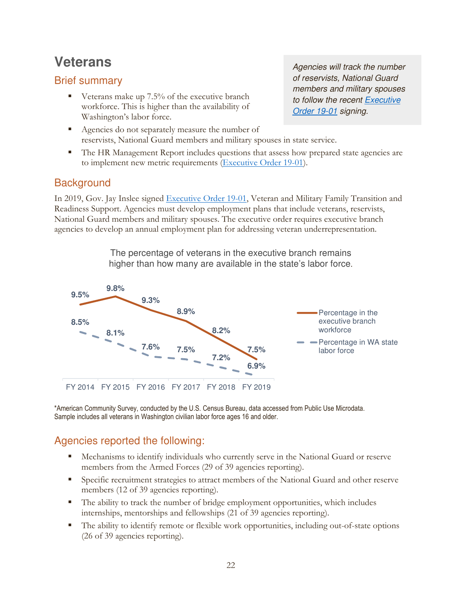## **Veterans**

## Brief summary

 $\blacksquare$  Veterans make up 7.5% of the executive branch workforce. This is higher than the availability of Washington's labor force.

Agencies do not separately measure the number of reservists, National Guard members and military spouses in state service.

**The HR Management Report includes questions that assess how prepared state agencies are** to implement new metric requirements (Executive Order 19-01).

## **Background**

In 2019, Gov. Jay Inslee signed Executive Order 19-01, Veteran and Military Family Transition and Readiness Support. Agencies must develop employment plans that include veterans, reservists, National Guard members and military spouses. The executive order requires executive branch agencies to develop an annual employment plan for addressing veteran underrepresentation.

> The percentage of veterans in the executive branch remains higher than how many are available in the state's labor force.



\*American Community Survey, conducted by the U.S. Census Bureau, data accessed from Public Use Microdata. Sample includes all veterans in Washington civilian labor force ages 16 and older.

## Agencies reported the following:

- Mechanisms to identify individuals who currently serve in the National Guard or reserve members from the Armed Forces (29 of 39 agencies reporting).
- Specific recruitment strategies to attract members of the National Guard and other reserve members (12 of 39 agencies reporting).
- The ability to track the number of bridge employment opportunities, which includes internships, mentorships and fellowships (21 of 39 agencies reporting).
- The ability to identify remote or flexible work opportunities, including out-of-state options (26 of 39 agencies reporting).

Agencies will track the number of reservists, National Guard members and military spouses to follow the recent Executive Order 19-01 signing.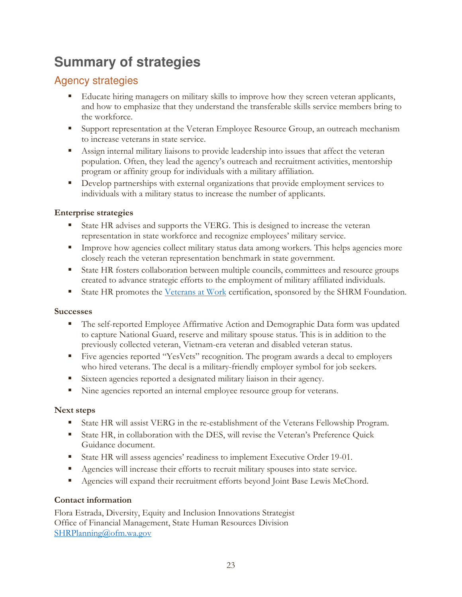## **Summary of strategies**

## Agency strategies

- Educate hiring managers on military skills to improve how they screen veteran applicants, and how to emphasize that they understand the transferable skills service members bring to the workforce.
- Support representation at the Veteran Employee Resource Group, an outreach mechanism to increase veterans in state service.
- Assign internal military liaisons to provide leadership into issues that affect the veteran population. Often, they lead the agency's outreach and recruitment activities, mentorship program or affinity group for individuals with a military affiliation.
- Develop partnerships with external organizations that provide employment services to individuals with a military status to increase the number of applicants.

### Enterprise strategies

- State HR advises and supports the VERG. This is designed to increase the veteran representation in state workforce and recognize employees' military service.
- **IMPROVE HOW EXCOMOGET MILITARY STATES 2** Intervalse among workers. This helps agencies more closely reach the veteran representation benchmark in state government.
- State HR fosters collaboration between multiple councils, committees and resource groups created to advance strategic efforts to the employment of military affiliated individuals.
- State HR promotes the Veterans at Work certification, sponsored by the SHRM Foundation.

### Successes

- The self-reported Employee Affirmative Action and Demographic Data form was updated to capture National Guard, reserve and military spouse status. This is in addition to the previously collected veteran, Vietnam-era veteran and disabled veteran status.
- Five agencies reported "YesVets" recognition. The program awards a decal to employers who hired veterans. The decal is a military-friendly employer symbol for job seekers.
- Sixteen agencies reported a designated military liaison in their agency.
- Nine agencies reported an internal employee resource group for veterans.

### Next steps

- State HR will assist VERG in the re-establishment of the Veterans Fellowship Program.
- State HR, in collaboration with the DES, will revise the Veteran's Preference Quick Guidance document.
- State HR will assess agencies' readiness to implement Executive Order 19-01.
- Agencies will increase their efforts to recruit military spouses into state service.
- Agencies will expand their recruitment efforts beyond Joint Base Lewis McChord.

### Contact information

Flora Estrada, Diversity, Equity and Inclusion Innovations Strategist Office of Financial Management, State Human Resources Division SHRPlanning@ofm.wa.gov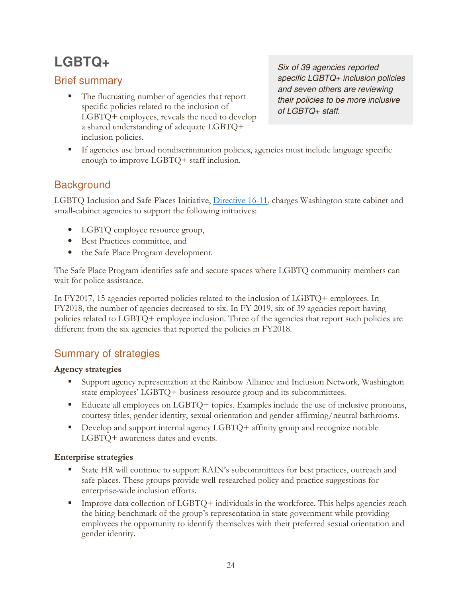## **LGBTQ+**

## Brief summary

■ The fluctuating number of agencies that report specific policies related to the inclusion of LGBTQ+ employees, reveals the need to develop a shared understanding of adequate LGBTQ+ inclusion policies.

Six of 39 agencies reported specific LGBTQ+ inclusion policies and seven others are reviewing their policies to be more inclusive of LGBTQ+ staff.

 If agencies use broad nondiscrimination policies, agencies must include language specific enough to improve LGBTQ+ staff inclusion.

## **Background**

LGBTQ Inclusion and Safe Places Initiative, Directive 16-11, charges Washington state cabinet and small-cabinet agencies to support the following initiatives:

- LGBTQ employee resource group,
- Best Practices committee, and
- the Safe Place Program development.

The Safe Place Program identifies safe and secure spaces where LGBTQ community members can wait for police assistance.

In FY2017, 15 agencies reported policies related to the inclusion of LGBTQ+ employees. In FY2018, the number of agencies decreased to six. In FY 2019, six of 39 agencies report having policies related to LGBTQ+ employee inclusion. Three of the agencies that report such policies are different from the six agencies that reported the policies in FY2018.

## Summary of strategies

### Agency strategies

- Support agency representation at the Rainbow Alliance and Inclusion Network, Washington state employees' LGBTQ+ business resource group and its subcommittees.
- Educate all employees on LGBTQ+ topics. Examples include the use of inclusive pronouns, courtesy titles, gender identity, sexual orientation and gender-affirming/neutral bathrooms.
- Develop and support internal agency LGBTQ+ affinity group and recognize notable LGBTQ+ awareness dates and events.

### Enterprise strategies

- State HR will continue to support RAIN's subcommittees for best practices, outreach and safe places. These groups provide well-researched policy and practice suggestions for enterprise-wide inclusion efforts.
- Improve data collection of  $LGBTQ$  + individuals in the workforce. This helps agencies reach the hiring benchmark of the group's representation in state government while providing employees the opportunity to identify themselves with their preferred sexual orientation and gender identity.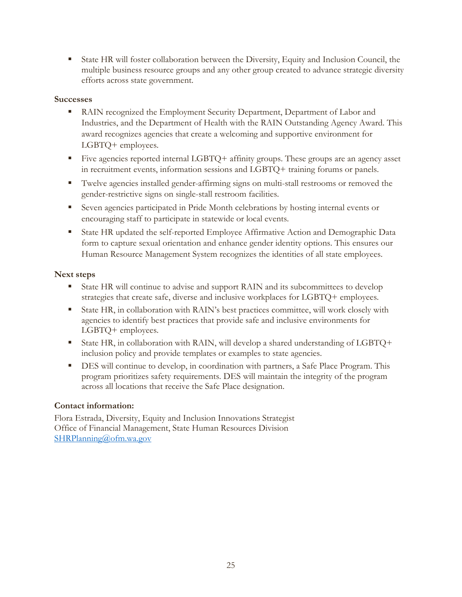State HR will foster collaboration between the Diversity, Equity and Inclusion Council, the multiple business resource groups and any other group created to advance strategic diversity efforts across state government.

#### **Successes**

- RAIN recognized the Employment Security Department, Department of Labor and Industries, and the Department of Health with the RAIN Outstanding Agency Award. This award recognizes agencies that create a welcoming and supportive environment for LGBTQ+ employees.
- Five agencies reported internal LGBTQ+ affinity groups. These groups are an agency asset in recruitment events, information sessions and LGBTQ+ training forums or panels.
- Twelve agencies installed gender-affirming signs on multi-stall restrooms or removed the gender-restrictive signs on single-stall restroom facilities.
- Seven agencies participated in Pride Month celebrations by hosting internal events or encouraging staff to participate in statewide or local events.
- State HR updated the self-reported Employee Affirmative Action and Demographic Data form to capture sexual orientation and enhance gender identity options. This ensures our Human Resource Management System recognizes the identities of all state employees.

#### Next steps

- State HR will continue to advise and support RAIN and its subcommittees to develop strategies that create safe, diverse and inclusive workplaces for LGBTQ+ employees.
- State HR, in collaboration with RAIN's best practices committee, will work closely with agencies to identify best practices that provide safe and inclusive environments for LGBTQ+ employees.
- State HR, in collaboration with RAIN, will develop a shared understanding of LGBTQ+ inclusion policy and provide templates or examples to state agencies.
- DES will continue to develop, in coordination with partners, a Safe Place Program. This program prioritizes safety requirements. DES will maintain the integrity of the program across all locations that receive the Safe Place designation.

#### Contact information:

Flora Estrada, Diversity, Equity and Inclusion Innovations Strategist Office of Financial Management, State Human Resources Division SHRPlanning@ofm.wa.gov